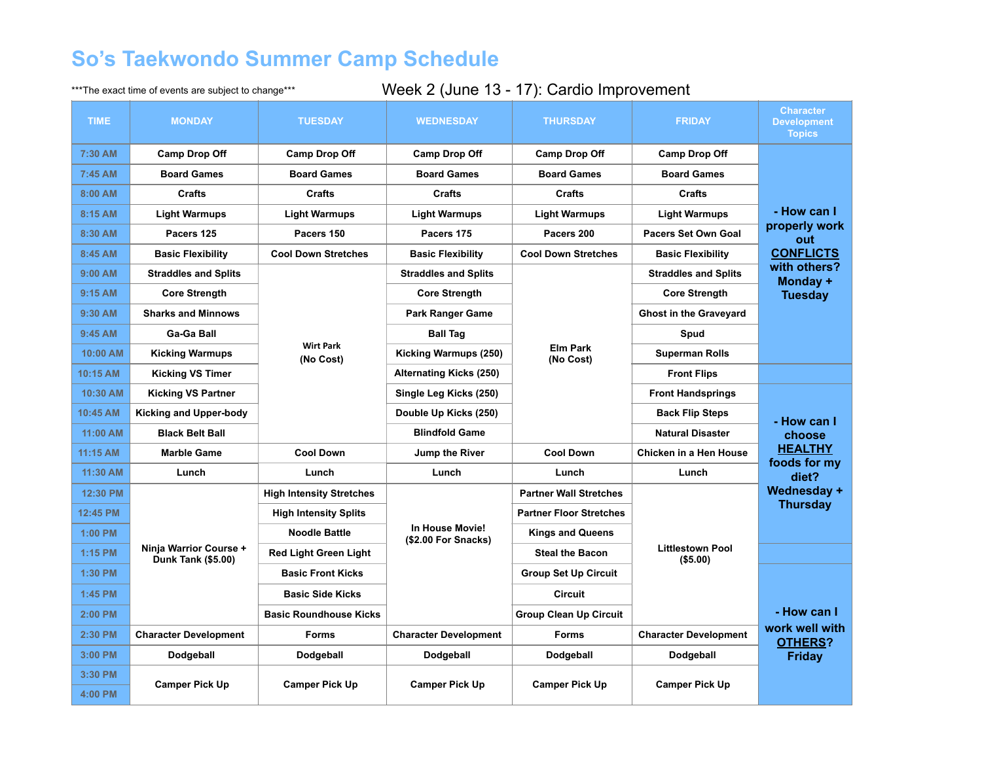## **So's Taekwondo Summer Camp Schedule**

## \*\*\*The exact time of events are subject to change\*\*\* Week 2 (June 13 - 17): Cardio Improvement

| <b>TIME</b>        | <b>MONDAY</b>                                       | <b>TUESDAY</b>                                                             | <b>WEDNESDAY</b>                       | <b>THURSDAY</b>                | <b>FRIDAY</b>                       | <b>Character</b><br><b>Development</b><br><b>Topics</b>                                               |
|--------------------|-----------------------------------------------------|----------------------------------------------------------------------------|----------------------------------------|--------------------------------|-------------------------------------|-------------------------------------------------------------------------------------------------------|
| 7:30 AM            | <b>Camp Drop Off</b>                                | <b>Camp Drop Off</b>                                                       | <b>Camp Drop Off</b>                   | <b>Camp Drop Off</b>           | <b>Camp Drop Off</b>                |                                                                                                       |
| $7:45$ AM          | <b>Board Games</b>                                  | <b>Board Games</b>                                                         | <b>Board Games</b>                     | <b>Board Games</b>             | <b>Board Games</b>                  | - How can I<br>properly work<br>out<br><b>CONFLICTS</b><br>with others?<br>Monday +<br><b>Tuesday</b> |
| 8:00 AM            | <b>Crafts</b>                                       | <b>Crafts</b>                                                              | <b>Crafts</b>                          | <b>Crafts</b>                  | <b>Crafts</b>                       |                                                                                                       |
| 8:15 AM            | <b>Light Warmups</b>                                | <b>Light Warmups</b>                                                       | <b>Light Warmups</b>                   | <b>Light Warmups</b>           | <b>Light Warmups</b>                |                                                                                                       |
| 8:30 AM            | Pacers 125                                          | Pacers 150                                                                 | Pacers 175                             | Pacers 200                     | Pacers Set Own Goal                 |                                                                                                       |
| 8:45 AM            | <b>Basic Flexibility</b>                            | <b>Cool Down Stretches</b>                                                 | <b>Basic Flexibility</b>               | <b>Cool Down Stretches</b>     | <b>Basic Flexibility</b>            |                                                                                                       |
| 9:00 AM            | <b>Straddles and Splits</b>                         | <b>Core Strength</b><br><b>Ga-Ga Ball</b><br><b>Wirt Park</b><br>(No Cost) | <b>Straddles and Splits</b>            | <b>Elm Park</b><br>(No Cost)   | <b>Straddles and Splits</b>         |                                                                                                       |
| 9:15 AM            | <b>Sharks and Minnows</b><br><b>Kicking Warmups</b> |                                                                            | <b>Core Strength</b>                   |                                | <b>Core Strength</b>                |                                                                                                       |
| 9:30 AM            |                                                     |                                                                            | <b>Park Ranger Game</b>                |                                | <b>Ghost in the Graveyard</b>       |                                                                                                       |
| 9:45 AM            |                                                     |                                                                            | <b>Ball Tag</b>                        |                                | <b>Spud</b>                         |                                                                                                       |
| 10:00 AM           |                                                     |                                                                            | Kicking Warmups (250)                  |                                | <b>Superman Rolls</b>               |                                                                                                       |
| 10:15 AM           | <b>Kicking VS Timer</b>                             |                                                                            | <b>Alternating Kicks (250)</b>         |                                | <b>Front Flips</b>                  |                                                                                                       |
| 10:30 AM           | <b>Kicking VS Partner</b>                           |                                                                            | Single Leg Kicks (250)                 |                                | <b>Front Handsprings</b>            | - How can I<br>choose                                                                                 |
| 10:45 AM           | <b>Kicking and Upper-body</b>                       |                                                                            | Double Up Kicks (250)                  |                                | <b>Back Flip Steps</b>              |                                                                                                       |
| 11:00 AM           | <b>Black Belt Ball</b>                              |                                                                            | <b>Blindfold Game</b>                  |                                | <b>Natural Disaster</b>             |                                                                                                       |
| 11:15 AM           | <b>Marble Game</b>                                  | <b>Cool Down</b>                                                           | Jump the River                         | <b>Cool Down</b>               | Chicken in a Hen House              | <b>HEALTHY</b><br>foods for my                                                                        |
| 11:30 AM           | Lunch                                               | Lunch                                                                      | Lunch                                  | Lunch                          | Lunch                               | diet?                                                                                                 |
| 12:30 PM           | Ninja Warrior Course +<br><b>Dunk Tank (\$5.00)</b> | <b>High Intensity Stretches</b>                                            | In House Movie!<br>(\$2.00 For Snacks) | <b>Partner Wall Stretches</b>  | <b>Littlestown Pool</b><br>(\$5.00) | Wednesday +<br><b>Thursday</b>                                                                        |
| 12:45 PM           |                                                     | <b>High Intensity Splits</b>                                               |                                        | <b>Partner Floor Stretches</b> |                                     |                                                                                                       |
| 1:00 PM            |                                                     | <b>Noodle Battle</b>                                                       |                                        | <b>Kings and Queens</b>        |                                     |                                                                                                       |
| 1:15 PM            |                                                     | <b>Red Light Green Light</b>                                               |                                        | <b>Steal the Bacon</b>         |                                     |                                                                                                       |
| 1:30 PM            |                                                     | <b>Basic Front Kicks</b>                                                   |                                        | <b>Group Set Up Circuit</b>    |                                     |                                                                                                       |
| 1:45 PM            |                                                     | <b>Basic Side Kicks</b>                                                    |                                        | <b>Circuit</b>                 |                                     | - How can I                                                                                           |
| 2:00 PM            |                                                     | <b>Basic Roundhouse Kicks</b>                                              |                                        | <b>Group Clean Up Circuit</b>  |                                     |                                                                                                       |
| 2:30 PM            | <b>Character Development</b>                        | <b>Forms</b>                                                               | <b>Character Development</b>           | <b>Forms</b>                   | <b>Character Development</b>        | work well with<br><b>OTHERS?</b>                                                                      |
| 3:00 PM            | Dodgeball                                           | Dodgeball                                                                  | Dodgeball                              | Dodgeball                      | Dodgeball                           | <b>Friday</b>                                                                                         |
| 3:30 PM<br>4:00 PM | <b>Camper Pick Up</b>                               | <b>Camper Pick Up</b>                                                      | <b>Camper Pick Up</b>                  | <b>Camper Pick Up</b>          | <b>Camper Pick Up</b>               |                                                                                                       |